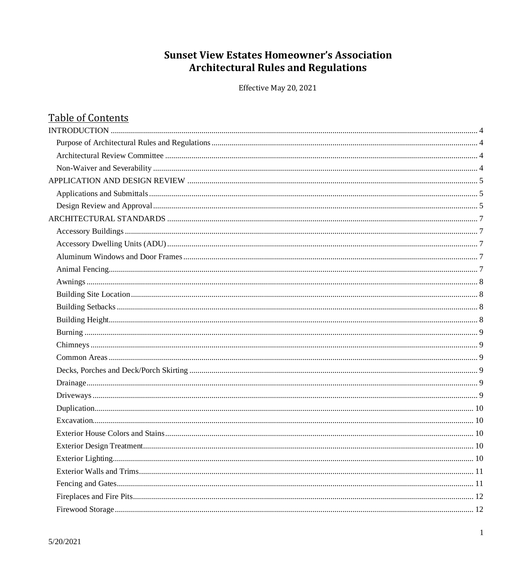# **Sunset View Estates Homeowner's Association Architectural Rules and Regulations**

Effective May 20, 2021

| <b>Table of Contents</b> |  |
|--------------------------|--|
|                          |  |
|                          |  |
|                          |  |
|                          |  |
|                          |  |
|                          |  |
|                          |  |
|                          |  |
|                          |  |
|                          |  |
|                          |  |
|                          |  |
|                          |  |
|                          |  |
|                          |  |
|                          |  |
|                          |  |
|                          |  |
|                          |  |
|                          |  |
|                          |  |
|                          |  |
|                          |  |
|                          |  |
|                          |  |
|                          |  |
|                          |  |
|                          |  |
|                          |  |
|                          |  |
|                          |  |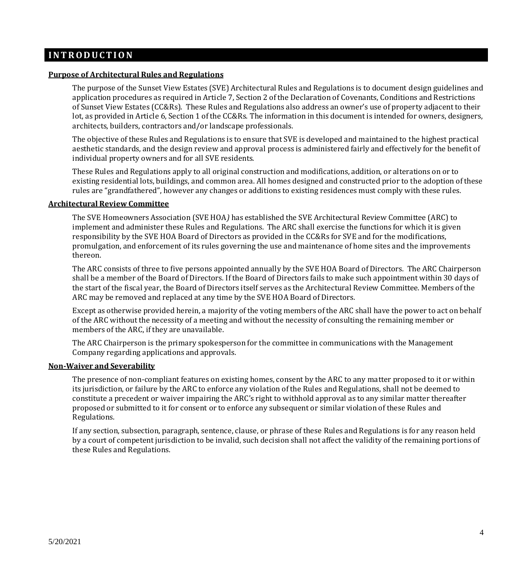## <span id="page-3-0"></span>**I N T R O D U C T I O N**

#### <span id="page-3-1"></span>**Purpose of Architectural Rules and Regulations**

The purpose of the Sunset View Estates (SVE) Architectural Rules and Regulations is to document design guidelines and application procedures as required in Article 7, Section 2 of the Declaration of Covenants, Conditions and Restrictions of Sunset View Estates (CC&Rs). These Rules and Regulations also address an owner's use of property adjacent to their lot, as provided in Article 6, Section 1 of the CC&Rs. The information in this document is intended for owners, designers, architects, builders, contractors and/or landscape professionals.

The objective of these Rules and Regulations is to ensure that SVE is developed and maintained to the highest practical aesthetic standards, and the design review and approval process is administered fairly and effectively for the benefit of individual property owners and for all SVE residents.

These Rules and Regulations apply to all original construction and modifications, addition, or alterations on or to existing residential lots, buildings, and common area. All homes designed and constructed prior to the adoption of these rules are "grandfathered", however any changes or additions to existing residences must comply with these rules.

#### <span id="page-3-2"></span>**Architectural Review Committee**

The SVE Homeowners Association (SVE HOA*)* has established the SVE Architectural Review Committee (ARC) to implement and administer these Rules and Regulations. The ARC shall exercise the functions for which it is given responsibility by the SVE HOA Board of Directors as provided in the CC&Rs for SVE and for the modifications, promulgation, and enforcement of its rules governing the use and maintenance of home sites and the improvements thereon.

The ARC consists of three to five persons appointed annually by the SVE HOA Board of Directors. The ARC Chairperson shall be a member of the Board of Directors. If the Board of Directors fails to make such appointment within 30 days of the start of the fiscal year, the Board of Directors itself serves as the Architectural Review Committee. Members of the ARC may be removed and replaced at any time by the SVE HOA Board of Directors.

Except as otherwise provided herein, a majority of the voting members of the ARC shall have the power to act on behalf of the ARC without the necessity of a meeting and without the necessity of consulting the remaining member or members of the ARC, if they are unavailable.

The ARC Chairperson is the primary spokesperson for the committee in communications with the Management Company regarding applications and approvals.

#### <span id="page-3-3"></span>**Non-Waiver and Severability**

The presence of non-compliant features on existing homes, consent by the ARC to any matter proposed to it or within its jurisdiction, or failure by the ARC to enforce any violation of the Rules and Regulations, shall not be deemed to constitute a precedent or waiver impairing the ARC's right to withhold approval as to any similar matter thereafter proposed or submitted to it for consent or to enforce any subsequent or similar violation of these Rules and Regulations.

If any section, subsection, paragraph, sentence, clause, or phrase of these Rules and Regulations is for any reason held by a court of competent jurisdiction to be invalid, such decision shall not affect the validity of the remaining portions of these Rules and Regulations.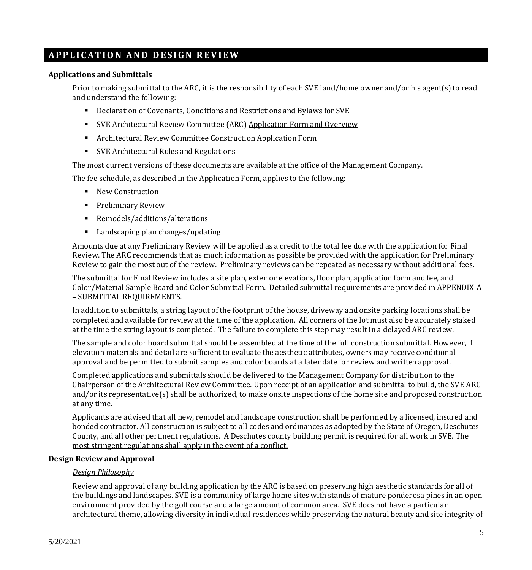## <span id="page-4-0"></span>**A P P L I C A T I O N A N D D E S I G N R E V I E W**

### <span id="page-4-1"></span>**Applications and Submittals**

Prior to making submittal to the ARC, it is the responsibility of each SVE land/home owner and/or his agent(s) to read and understand the following:

- Declaration of Covenants, Conditions and Restrictions and Bylaws for SVE
- SVE Architectural Review Committee (ARC) Application Form and Overview
- Architectural Review Committee Construction Application Form
- SVE Architectural Rules and Regulations

The most current versions of these documents are available at the office of the Management Company.

The fee schedule, as described in the Application Form, applies to the following:

- New Construction
- **•** Preliminary Review
- Remodels/additions/alterations
- Landscaping plan changes/updating

Amounts due at any Preliminary Review will be applied as a credit to the total fee due with the application for Final Review. The ARC recommends that as much information as possible be provided with the application for Preliminary Review to gain the most out of the review. Preliminary reviews can be repeated as necessary without additional fees.

The submittal for Final Review includes a site plan, exterior elevations, floor plan, application form and fee, and Color/Material Sample Board and Color Submittal Form. Detailed submittal requirements are provided in APPENDIX A – SUBMITTAL REQUIREMENTS.

In addition to submittals, a string layout of the footprint of the house, driveway and onsite parking locations shall be completed and available for review at the time of the application. All corners of the lot must also be accurately staked at the time the string layout is completed. The failure to complete this step may result in a delayed ARC review.

The sample and color board submittal should be assembled at the time of the full construction submittal. However, if elevation materials and detail are sufficient to evaluate the aesthetic attributes, owners may receive conditional approval and be permitted to submit samples and color boards at a later date for review and written approval.

Completed applications and submittals should be delivered to the Management Company for distribution to the Chairperson of the Architectural Review Committee. Upon receipt of an application and submittal to build, the SVE ARC and/or its representative(s) shall be authorized, to make onsite inspections of the home site and proposed construction at any time.

Applicants are advised that all new, remodel and landscape construction shall be performed by a licensed, insured and bonded contractor. All construction is subject to all codes and ordinances as adopted by the State of Oregon, Deschutes County, and all other pertinent regulations. A Deschutes county building permit is required for all work in SVE. The most stringent regulations shall apply in the event of a conflict.

## <span id="page-4-2"></span>**Design Review and Approval**

#### *Design Philosophy*

Review and approval of any building application by the ARC is based on preserving high aesthetic standards for all of the buildings and landscapes. SVE is a community of large home sites with stands of mature ponderosa pines in an open environment provided by the golf course and a large amount of common area. SVE does not have a particular architectural theme, allowing diversity in individual residences while preserving the natural beauty and site integrity of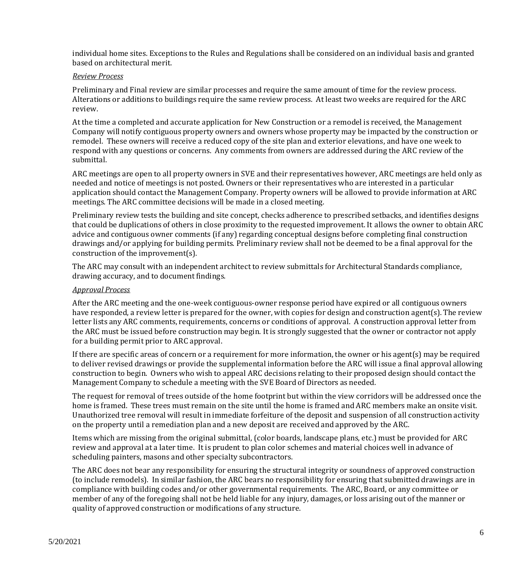individual home sites. Exceptions to the Rules and Regulations shall be considered on an individual basis and granted based on architectural merit.

#### *Review Process*

Preliminary and Final review are similar processes and require the same amount of time for the review process. Alterations or additions to buildings require the same review process. At least two weeks are required for the ARC review.

At the time a completed and accurate application for New Construction or a remodel is received, the Management Company will notify contiguous property owners and owners whose property may be impacted by the construction or remodel. These owners will receive a reduced copy of the site plan and exterior elevations, and have one week to respond with any questions or concerns. Any comments from owners are addressed during the ARC review of the submittal.

ARC meetings are open to all property owners in SVE and their representatives however, ARC meetings are held only as needed and notice of meetings is not posted. Owners or their representatives who are interested in a particular application should contact the Management Company. Property owners will be allowed to provide information at ARC meetings. The ARC committee decisions will be made in a closed meeting.

Preliminary review tests the building and site concept, checks adherence to prescribed setbacks, and identifies designs that could be duplications of others in close proximity to the requested improvement. It allows the owner to obtain ARC advice and contiguous owner comments (if any) regarding conceptual designs before completing final construction drawings and/or applying for building permits. Preliminary review shall not be deemed to be a final approval for the construction of the improvement(s).

The ARC may consult with an independent architect to review submittals for Architectural Standards compliance, drawing accuracy, and to document findings.

#### *Approval Process*

After the ARC meeting and the one-week contiguous-owner response period have expired or all contiguous owners have responded, a review letter is prepared for the owner, with copies for design and construction agent(s). The review letter lists any ARC comments, requirements, concerns or conditions of approval. A construction approval letter from the ARC must be issued before construction may begin. It is strongly suggested that the owner or contractor not apply for a building permit prior to ARC approval.

If there are specific areas of concern or a requirement for more information, the owner or his agent(s) may be required to deliver revised drawings or provide the supplemental information before the ARC will issue a final approval allowing construction to begin. Owners who wish to appeal ARC decisions relating to their proposed design should contact the Management Company to schedule a meeting with the SVE Board of Directors as needed.

The request for removal of trees outside of the home footprint but within the view corridors will be addressed once the home is framed. These trees must remain on the site until the home is framed and ARC members make an onsite visit. Unauthorized tree removal will result in immediate forfeiture of the deposit and suspension of all construction activity on the property until a remediation plan and a new deposit are received and approved by the ARC.

Items which are missing from the original submittal, (color boards, landscape plans, etc.) must be provided for ARC review and approval at a later time. It is prudent to plan color schemes and material choices well in advance of scheduling painters, masons and other specialty subcontractors.

The ARC does not bear any responsibility for ensuring the structural integrity or soundness of approved construction (to include remodels). In similar fashion, the ARC bears no responsibility for ensuring that submitted drawings are in compliance with building codes and/or other governmental requirements. The ARC, Board, or any committee or member of any of the foregoing shall not be held liable for any injury, damages, or loss arising out of the manner or quality of approved construction or modifications of any structure.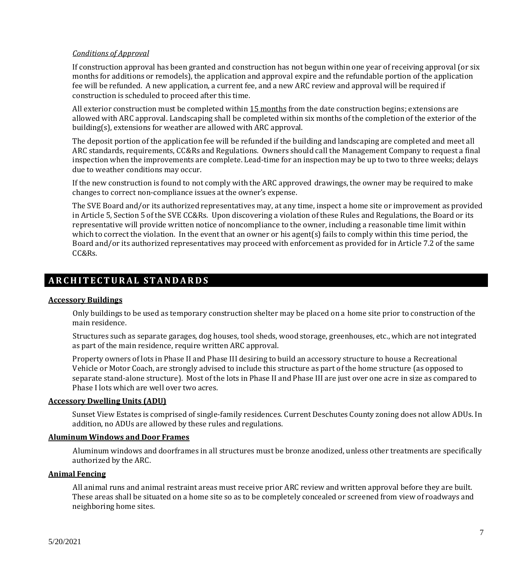#### *Conditions of Approval*

If construction approval has been granted and construction has not begun within one year of receiving approval (or six months for additions or remodels), the application and approval expire and the refundable portion of the application fee will be refunded. A new application, a current fee, and a new ARC review and approval will be required if construction is scheduled to proceed after this time.

All exterior construction must be completed within 15 months from the date construction begins; extensions are allowed with ARC approval. Landscaping shall be completed within six months of the completion of the exterior of the building(s), extensions for weather are allowed with ARC approval.

The deposit portion of the application fee will be refunded if the building and landscaping are completed and meet all ARC standards, requirements, CC&Rs and Regulations. Owners should call the Management Company to request a final inspection when the improvements are complete. Lead-time for an inspection may be up to two to three weeks; delays due to weather conditions may occur.

If the new construction is found to not comply with the ARC approved drawings, the owner may be required to make changes to correct non-compliance issues at the owner's expense.

The SVE Board and/or its authorized representatives may, at any time, inspect a home site or improvement as provided in Article 5, Section 5 of the SVE CC&Rs. Upon discovering a violation of these Rules and Regulations, the Board or its representative will provide written notice of noncompliance to the owner, including a reasonable time limit within which to correct the violation. In the event that an owner or his agent(s) fails to comply within this time period, the Board and/or its authorized representatives may proceed with enforcement as provided for in Article 7.2 of the same CC&Rs.

## <span id="page-6-0"></span>**A R C H I T E C T U R A L S T A N D A R D S**

#### <span id="page-6-1"></span>**Accessory Buildings**

Only buildings to be used as temporary construction shelter may be placed on a home site prior to construction of the main residence.

Structures such as separate garages, dog houses, tool sheds, wood storage, greenhouses, etc., which are not integrated as part of the main residence, require written ARC approval.

Property owners of lots in Phase II and Phase III desiring to build an accessory structure to house a Recreational Vehicle or Motor Coach, are strongly advised to include this structure as part of the home structure (as opposed to separate stand-alone structure). Most of the lots in Phase II and Phase III are just over one acre in size as compared to Phase I lots which are well over two acres.

#### <span id="page-6-2"></span>**Accessory Dwelling Units (ADU)**

Sunset View Estates is comprised of single-family residences. Current Deschutes County zoning does not allow ADUs. In addition, no ADUs are allowed by these rules and regulations.

#### <span id="page-6-3"></span>**Aluminum Windows and Door Frames**

Aluminum windows and doorframes in all structures must be bronze anodized, unless other treatments are specifically authorized by the ARC.

## <span id="page-6-4"></span>**Animal Fencing**

All animal runs and animal restraint areas must receive prior ARC review and written approval before they are built. These areas shall be situated on a home site so as to be completely concealed or screened from view of roadways and neighboring home sites.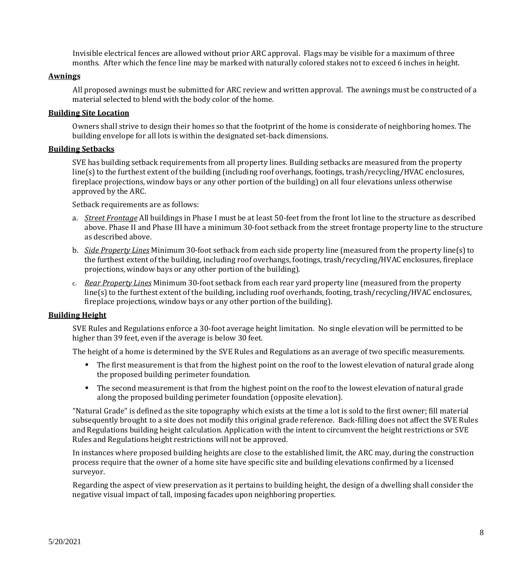Invisible electrical fences are allowed without prior ARC approval. Flags may be visible for a maximum of three months. After which the fence line may be marked with naturally colored stakes not to exceed 6 inches in height.

## <span id="page-7-0"></span>**Awnings**

All proposed awnings must be submitted for ARC review and written approval. The awnings must be constructed of a material selected to blend with the body color of the home.

## <span id="page-7-1"></span>**Building Site Location**

Owners shall strive to design their homes so that the footprint of the home is considerate of neighboring homes. The building envelope for all lots is within the designated set-back dimensions.

## <span id="page-7-2"></span>**Building Setbacks**

SVE has building setback requirements from all property lines. Building setbacks are measured from the property line(s) to the furthest extent of the building (including roof overhangs, footings, trash/recycling/HVAC enclosures, fireplace projections, window bays or any other portion of the building) on all four elevations unless otherwise approved by the ARC.

Setback requirements are as follows:

- a. *Street Frontage* All buildings in Phase I must be at least 50-feet from the front lot line to the structure as described above. Phase II and Phase III have a minimum 30-foot setback from the street frontage property line to the structure as described above.
- b. *Side Property Lines* Minimum 30-foot setback from each side property line (measured from the property line(s) to the furthest extent of the building, including roof overhangs, footings, trash/recycling/HVAC enclosures, fireplace projections, window bays or any other portion of the building).
- c. *Rear Property Lines* Minimum 30-foot setback from each rear yard property line (measured from the property line(s) to the furthest extent of the building, including roof overhands, footing, trash/recycling/HVAC enclosures, fireplace projections, window bays or any other portion of the building).

## <span id="page-7-3"></span>**Building Height**

SVE Rules and Regulations enforce a 30-foot average height limitation. No single elevation will be permitted to be higher than 39 feet, even if the average is below 30 feet.

The height of a home is determined by the SVE Rules and Regulations as an average of two specific measurements.

- The first measurement is that from the highest point on the roof to the lowest elevation of natural grade along the proposed building perimeter foundation.
- The second measurement is that from the highest point on the roof to the lowest elevation of natural grade along the proposed building perimeter foundation (opposite elevation).

"Natural Grade" is defined as the site topography which exists at the time a lot is sold to the first owner; fill material subsequently brought to a site does not modify this original grade reference. Back-filling does not affect the SVE Rules and Regulations building height calculation. Application with the intent to circumvent the height restrictions or SVE Rules and Regulations height restrictions will not be approved.

In instances where proposed building heights are close to the established limit, the ARC may, during the construction process require that the owner of a home site have specific site and building elevations confirmed by a licensed surveyor.

Regarding the aspect of view preservation as it pertains to building height, the design of a dwelling shall consider the negative visual impact of tall, imposing facades upon neighboring properties.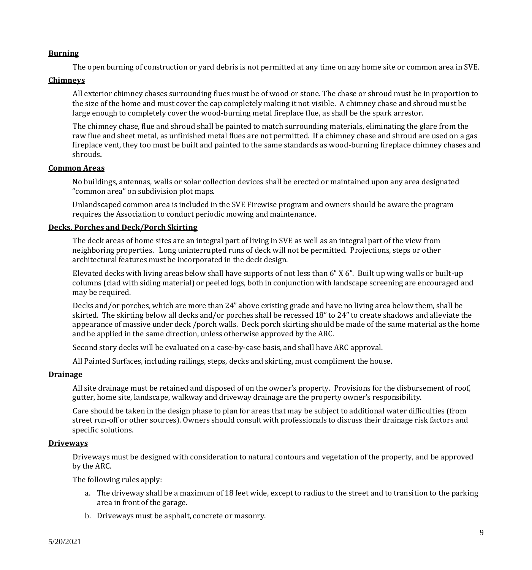#### <span id="page-8-0"></span>**Burning**

The open burning of construction or yard debris is not permitted at any time on any home site or common area in SVE.

#### <span id="page-8-1"></span>**Chimneys**

All exterior chimney chases surrounding flues must be of wood or stone. The chase or shroud must be in proportion to the size of the home and must cover the cap completely making it not visible. A chimney chase and shroud must be large enough to completely cover the wood-burning metal fireplace flue, as shall be the spark arrestor.

The chimney chase, flue and shroud shall be painted to match surrounding materials, eliminating the glare from the raw flue and sheet metal, as unfinished metal flues are not permitted. If a chimney chase and shroud are used on a gas fireplace vent, they too must be built and painted to the same standards as wood-burning fireplace chimney chases and shrouds**.**

#### <span id="page-8-2"></span>**Common Areas**

No buildings, antennas, walls or solar collection devices shall be erected or maintained upon any area designated "common area" on subdivision plot maps.

Unlandscaped common area is included in the SVE Firewise program and owners should be aware the program requires the Association to conduct periodic mowing and maintenance.

#### <span id="page-8-3"></span>**Decks, Porches and Deck/Porch Skirting**

The deck areas of home sites are an integral part of living in SVE as well as an integral part of the view from neighboring properties. Long uninterrupted runs of deck will not be permitted. Projections, steps or other architectural features must be incorporated in the deck design.

Elevated decks with living areas below shall have supports of not less than 6" X 6". Built up wing walls or built-up columns (clad with siding material) or peeled logs, both in conjunction with landscape screening are encouraged and may be required.

Decks and/or porches, which are more than 24" above existing grade and have no living area below them, shall be skirted. The skirting below all decks and/or porches shall be recessed 18" to 24" to create shadows and alleviate the appearance of massive under deck /porch walls. Deck porch skirting should be made of the same material as the home and be applied in the same direction, unless otherwise approved by the ARC.

Second story decks will be evaluated on a case-by-case basis, and shall have ARC approval.

All Painted Surfaces, including railings, steps, decks and skirting, must compliment the house.

#### <span id="page-8-4"></span>**Drainage**

All site drainage must be retained and disposed of on the owner's property. Provisions for the disbursement of roof, gutter, home site, landscape, walkway and driveway drainage are the property owner's responsibility.

Care should be taken in the design phase to plan for areas that may be subject to additional water difficulties (from street run-off or other sources). Owners should consult with professionals to discuss their drainage risk factors and specific solutions.

#### <span id="page-8-5"></span>**Driveways**

Driveways must be designed with consideration to natural contours and vegetation of the property, and be approved by the ARC.

The following rules apply:

- a. The driveway shall be a maximum of 18 feet wide, except to radius to the street and to transition to the parking area in front of the garage.
- b. Driveways must be asphalt, concrete or masonry.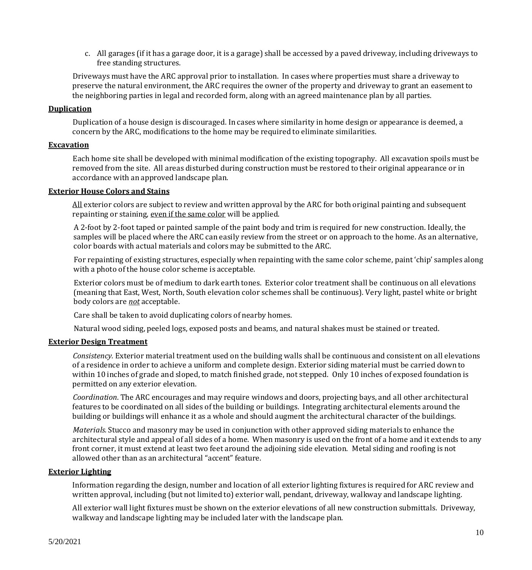c. All garages (if it has a garage door, it is a garage) shall be accessed by a paved driveway, including driveways to free standing structures.

Driveways must have the ARC approval prior to installation. In cases where properties must share a driveway to preserve the natural environment, the ARC requires the owner of the property and driveway to grant an easement to the neighboring parties in legal and recorded form, along with an agreed maintenance plan by all parties.

## <span id="page-9-0"></span>**Duplication**

Duplication of a house design is discouraged. In cases where similarity in home design or appearance is deemed, a concern by the ARC, modifications to the home may be required to eliminate similarities.

## <span id="page-9-1"></span>**Excavation**

Each home site shall be developed with minimal modification of the existing topography. All excavation spoils must be removed from the site. All areas disturbed during construction must be restored to their original appearance or in accordance with an approved landscape plan.

#### <span id="page-9-2"></span>**Exterior House Colors and Stains**

All exterior colors are subject to review and written approval by the ARC for both original painting and subsequent repainting or staining, even if the same color will be applied.

A 2-foot by 2-foot taped or painted sample of the paint body and trim is required for new construction. Ideally, the samples will be placed where the ARC can easily review from the street or on approach to the home. As an alternative, color boards with actual materials and colors may be submitted to the ARC.

For repainting of existing structures, especially when repainting with the same color scheme, paint 'chip' samples along with a photo of the house color scheme is acceptable.

Exterior colors must be of medium to dark earth tones. Exterior color treatment shall be continuous on all elevations (meaning that East, West, North, South elevation color schemes shall be continuous). Very light, pastel white or bright body colors are *not* acceptable.

Care shall be taken to avoid duplicating colors of nearby homes.

Natural wood siding, peeled logs, exposed posts and beams, and natural shakes must be stained or treated.

#### <span id="page-9-3"></span>**Exterior Design Treatment**

*Consistency.* Exterior material treatment used on the building walls shall be continuous and consistent on all elevations of a residence in order to achieve a uniform and complete design. Exterior siding material must be carried down to within 10 inches of grade and sloped, to match finished grade, not stepped. Only 10 inches of exposed foundation is permitted on any exterior elevation.

*Coordination*. The ARC encourages and may require windows and doors, projecting bays, and all other architectural features to be coordinated on all sides of the building or buildings. Integrating architectural elements around the building or buildings will enhance it as a whole and should augment the architectural character of the buildings.

*Materials.*Stucco and masonry may be used in conjunction with other approved siding materials to enhance the architectural style and appeal of all sides of a home. When masonry is used on the front of a home and it extends to any front corner, it must extend at least two feet around the adjoining side elevation. Metal siding and roofing is not allowed other than as an architectural "accent" feature.

#### <span id="page-9-4"></span>**Exterior Lighting**

Information regarding the design, number and location of all exterior lighting fixtures is required for ARC review and written approval, including (but not limited to) exterior wall, pendant, driveway, walkway and landscape lighting.

All exterior wall light fixtures must be shown on the exterior elevations of all new construction submittals. Driveway, walkway and landscape lighting may be included later with the landscape plan.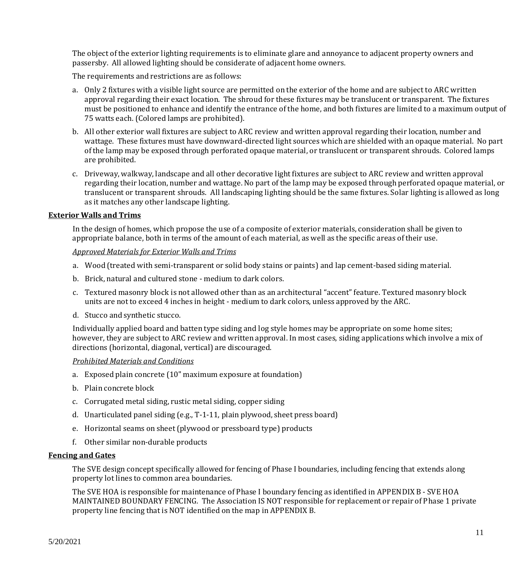The object of the exterior lighting requirements is to eliminate glare and annoyance to adjacent property owners and passersby. All allowed lighting should be considerate of adjacent home owners.

The requirements and restrictions are as follows:

- a. Only 2 fixtures with a visible light source are permitted on the exterior of the home and are subject to ARC written approval regarding their exact location. The shroud for these fixtures may be translucent or transparent. The fixtures must be positioned to enhance and identify the entrance of the home, and both fixtures are limited to a maximum output of 75 watts each. (Colored lamps are prohibited).
- b. All other exterior wall fixtures are subject to ARC review and written approval regarding their location, number and wattage. These fixtures must have downward-directed light sources which are shielded with an opaque material. No part of the lamp may be exposed through perforated opaque material, or translucent or transparent shrouds. Colored lamps are prohibited.
- c. Driveway, walkway, landscape and all other decorative light fixtures are subject to ARC review and written approval regarding their location, number and wattage. No part of the lamp may be exposed through perforated opaque material, or translucent or transparent shrouds. All landscaping lighting should be the same fixtures. Solar lighting is allowed as long as it matches any other landscape lighting.

#### <span id="page-10-0"></span>**Exterior Walls and Trims**

In the design of homes, which propose the use of a composite of exterior materials, consideration shall be given to appropriate balance, both in terms of the amount of each material, as well as the specific areas of their use.

#### *Approved Materials for Exterior Walls and Trims*

- a. Wood (treated with semi-transparent or solid body stains or paints) and lap cement-based siding material.
- b. Brick, natural and cultured stone medium to dark colors.
- c. Textured masonry block is not allowed other than as an architectural "accent" feature. Textured masonry block units are not to exceed 4 inches in height - medium to dark colors, unless approved by the ARC.
- d. Stucco and synthetic stucco.

Individually applied board and batten type siding and log style homes may be appropriate on some home sites; however, they are subject to ARC review and written approval. In most cases, siding applications which involve a mix of directions (horizontal, diagonal, vertical) are discouraged.

#### *Prohibited Materials and Conditions*

- a. Exposed plain concrete (10" maximum exposure at foundation)
- b. Plain concrete block
- c. Corrugated metal siding, rustic metal siding, copper siding
- d. Unarticulated panel siding (e.g., T-1-11, plain plywood, sheet press board)
- e. Horizontal seams on sheet (plywood or pressboard type) products
- f. Other similar non-durable products

#### <span id="page-10-1"></span>**Fencing and Gates**

The SVE design concept specifically allowed for fencing of Phase I boundaries, including fencing that extends along property lot lines to common area boundaries.

The SVE HOA is responsible for maintenance of Phase I boundary fencing as identified in APPENDIX B - SVE HOA MAINTAINED BOUNDARY FENCING. The Association IS NOT responsible for replacement or repair of Phase 1 private property line fencing that is NOT identified on the map in APPENDIX B.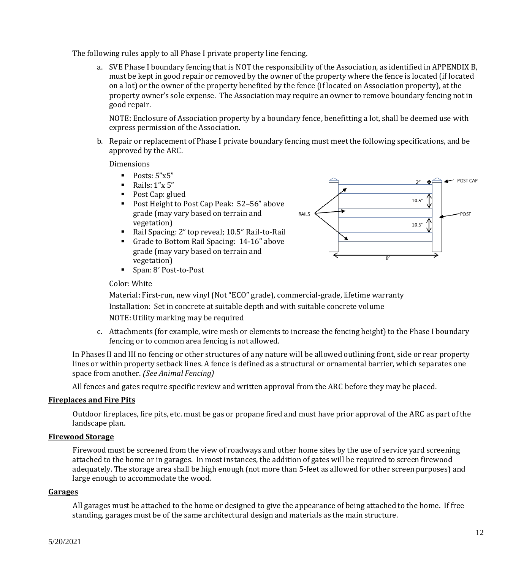The following rules apply to all Phase I private property line fencing.

a. SVE Phase I boundary fencing that is NOT the responsibility of the Association, as identified in APPENDIX B, must be kept in good repair or removed by the owner of the property where the fence is located (if located on a lot) or the owner of the property benefited by the fence (if located on Association property), at the property owner's sole expense. The Association may require an owner to remove boundary fencing not in good repair.

NOTE: Enclosure of Association property by a boundary fence, benefitting a lot, shall be deemed use with express permission of the Association.

b. Repair or replacement of Phase I private boundary fencing must meet the following specifications, and be approved by the ARC.

Dimensions

- $\blacksquare$  Posts: 5"x5"
- $\blacksquare$  Rails: 1"x 5"
- Post Cap: glued
- Post Height to Post Cap Peak: 52-56" above grade (may vary based on terrain and vegetation)
- Rail Spacing: 2" top reveal; 10.5" Rail-to-Rail
- Grade to Bottom Rail Spacing: 14-16" above grade (may vary based on terrain and vegetation)



■ Span: 8' Post-to-Post

## Color: White

Material: First-run, new vinyl (Not "ECO" grade), commercial-grade, lifetime warranty Installation: Set in concrete at suitable depth and with suitable concrete volume NOTE: Utility marking may be required

c. Attachments (for example, wire mesh or elements to increase the fencing height) to the Phase I boundary fencing or to common area fencing is not allowed.

In Phases II and III no fencing or other structures of any nature will be allowed outlining front, side or rear property lines or within property setback lines. A fence is defined as a structural or ornamental barrier, which separates one space from another. *(See Animal Fencing)*

All fences and gates require specific review and written approval from the ARC before they may be placed.

#### <span id="page-11-0"></span>**Fireplaces and Fire Pits**

Outdoor fireplaces, fire pits, etc. must be gas or propane fired and must have prior approval of the ARC as part of the landscape plan.

#### <span id="page-11-1"></span>**Firewood Storage**

Firewood must be screened from the view of roadways and other home sites by the use of service yard screening attached to the home or in garages. In most instances, the addition of gates will be required to screen firewood adequately. The storage area shall be high enough (not more than 5-feet as allowed for other screen purposes) and large enough to accommodate the wood.

#### <span id="page-11-2"></span>**Garages**

All garages must be attached to the home or designed to give the appearance of being attached to the home. If free standing, garages must be of the same architectural design and materials as the main structure.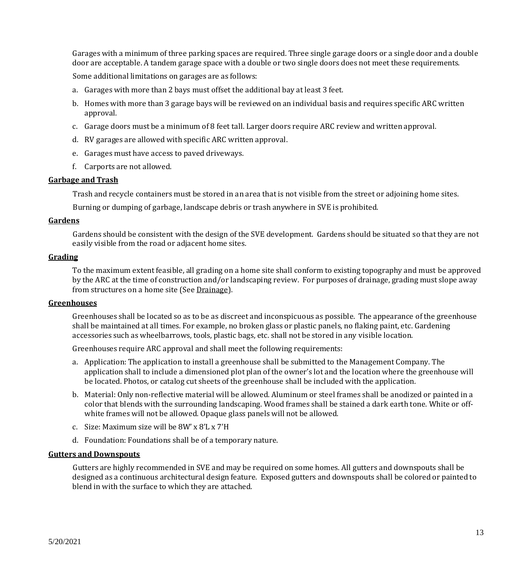Garages with a minimum of three parking spaces are required. Three single garage doors or a single door and a double door are acceptable. A tandem garage space with a double or two single doors does not meet these requirements.

Some additional limitations on garages are as follows:

- a. Garages with more than 2 bays must offset the additional bay at least 3 feet.
- b. Homes with more than 3 garage bays will be reviewed on an individual basis and requires specific ARC written approval.
- c. Garage doors must be a minimum of 8 feet tall. Larger doors require ARC review and written approval.
- d. RV garages are allowed with specific ARC written approval.
- e. Garages must have access to paved driveways.
- f. Carports are not allowed.

#### <span id="page-12-0"></span>**Garbage and Trash**

Trash and recycle containers must be stored in an area that is not visible from the street or adjoining home sites.

Burning or dumping of garbage, landscape debris or trash anywhere in SVE is prohibited.

#### <span id="page-12-1"></span>**Gardens**

Gardens should be consistent with the design of the SVE development. Gardens should be situated so that they are not easily visible from the road or adjacent home sites.

#### <span id="page-12-2"></span>**Grading**

To the maximum extent feasible, all grading on a home site shall conform to existing topography and must be approved by the ARC at the time of construction and/or landscaping review. For purposes of drainage, grading must slope away from structures on a home site (See Drainage).

#### <span id="page-12-3"></span>**Greenhouses**

Greenhouses shall be located so as to be as discreet and inconspicuous as possible. The appearance of the greenhouse shall be maintained at all times. For example, no broken glass or plastic panels, no flaking paint, etc. Gardening accessories such as wheelbarrows, tools, plastic bags, etc. shall not be stored in any visible location.

Greenhouses require ARC approval and shall meet the following requirements:

- a. Application: The application to install a greenhouse shall be submitted to the Management Company. The application shall to include a dimensioned plot plan of the owner's lot and the location where the greenhouse will be located. Photos, or catalog cut sheets of the greenhouse shall be included with the application.
- b. Material: Only non-reflective material will be allowed. Aluminum or steel frames shall be anodized or painted in a color that blends with the surrounding landscaping. Wood frames shall be stained a dark earth tone. White or offwhite frames will not be allowed. Opaque glass panels will not be allowed.
- c. Size: Maximum size will be 8W' x 8'L x 7'H
- d. Foundation: Foundations shall be of a temporary nature.

#### <span id="page-12-4"></span>**Gutters and Downspouts**

Gutters are highly recommended in SVE and may be required on some homes. All gutters and downspouts shall be designed as a continuous architectural design feature. Exposed gutters and downspouts shall be colored or painted to blend in with the surface to which they are attached.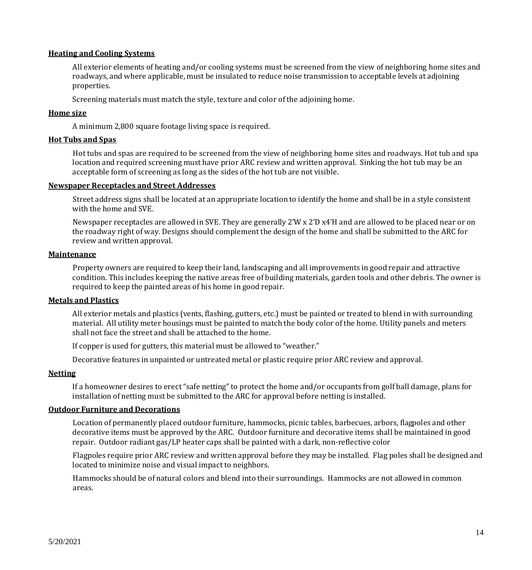## <span id="page-13-0"></span>**Heating and Cooling Systems**

All exterior elements of heating and/or cooling systems must be screened from the view of neighboring home sites and roadways, and where applicable, must be insulated to reduce noise transmission to acceptable levels at adjoining properties.

Screening materials must match the style, texture and color of the adjoining home.

## <span id="page-13-1"></span>**Home size**

A minimum 2,800 square footage living space is required.

## <span id="page-13-2"></span>**Hot Tubs and Spas**

Hot tubs and spas are required to be screened from the view of neighboring home sites and roadways. Hot tub and spa location and required screening must have prior ARC review and written approval. Sinking the hot tub may be an acceptable form of screening as long as the sides of the hot tub are not visible.

#### <span id="page-13-3"></span>**Newspaper Receptacles and Street Addresses**

Street address signs shall be located at an appropriate location to identify the home and shall be in a style consistent with the home and SVE.

Newspaper receptacles are allowed in SVE. They are generally 2'W x 2'D x4'H and are allowed to be placed near or on the roadway right of way. Designs should complement the design of the home and shall be submitted to the ARC for review and written approval.

#### <span id="page-13-4"></span>**Maintenance**

Property owners are required to keep their land, landscaping and all improvements in good repair and attractive condition. This includes keeping the native areas free of building materials, garden tools and other debris. The owner is required to keep the painted areas of his home in good repair.

#### <span id="page-13-5"></span>**Metals and Plastics**

All exterior metals and plastics (vents, flashing, gutters, etc.) must be painted or treated to blend in with surrounding material. All utility meter housings must be painted to match the body color of the home. Utility panels and meters shall not face the street and shall be attached to the home.

If copper is used for gutters, this material must be allowed to "weather."

Decorative features in unpainted or untreated metal or plastic require prior ARC review and approval.

#### <span id="page-13-6"></span>**Netting**

If a homeowner desires to erect "safe netting" to protect the home and/or occupants from golf ball damage, plans for installation of netting must be submitted to the ARC for approval before netting is installed.

#### <span id="page-13-7"></span>**Outdoor Furniture and Decorations**

Location of permanently placed outdoor furniture, hammocks, picnic tables, barbecues, arbors, flagpoles and other decorative items must be approved by the ARC. Outdoor furniture and decorative items shall be maintained in good repair. Outdoor radiant gas/LP heater caps shall be painted with a dark, non-reflective color

Flagpoles require prior ARC review and written approval before they may be installed. Flag poles shall be designed and located to minimize noise and visual impact to neighbors.

Hammocks should be of natural colors and blend into their surroundings. Hammocks are not allowed in common areas.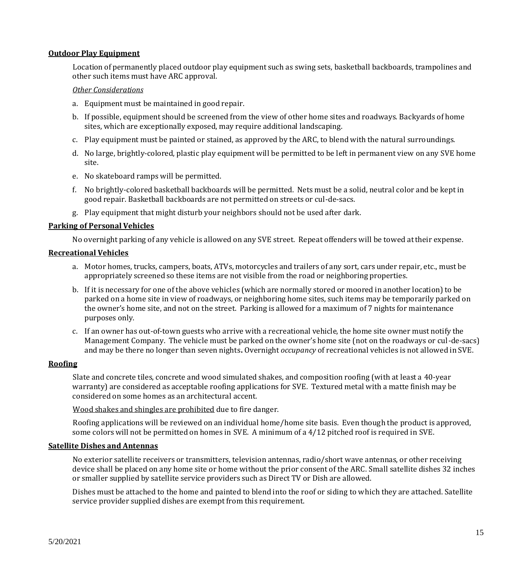#### <span id="page-14-0"></span>**Outdoor Play Equipment**

Location of permanently placed outdoor play equipment such as swing sets, basketball backboards, trampolines and other such items must have ARC approval.

#### *Other Considerations*

- a. Equipment must be maintained in good repair.
- b. If possible, equipment should be screened from the view of other home sites and roadways. Backyards of home sites, which are exceptionally exposed, may require additional landscaping.
- c. Play equipment must be painted or stained, as approved by the ARC, to blend with the natural surroundings.
- d. No large, brightly-colored, plastic play equipment will be permitted to be left in permanent view on any SVE home site.
- e. No skateboard ramps will be permitted.
- f. No brightly-colored basketball backboards will be permitted. Nets must be a solid, neutral color and be kept in good repair. Basketball backboards are not permitted on streets or cul-de-sacs.
- g. Play equipment that might disturb your neighbors should not be used after dark.

#### <span id="page-14-1"></span>**Parking of Personal Vehicles**

No overnight parking of any vehicle is allowed on any SVE street. Repeat offenders will be towed at their expense.

#### <span id="page-14-2"></span>**Recreational Vehicles**

- a. Motor homes, trucks, campers, boats, ATVs, motorcycles and trailers of any sort, cars under repair, etc., must be appropriately screened so these items are not visible from the road or neighboring properties.
- b. If it is necessary for one of the above vehicles (which are normally stored or moored in another location) to be parked on a home site in view of roadways, or neighboring home sites, such items may be temporarily parked on the owner's home site, and not on the street. Parking is allowed for a maximum of 7 nights for maintenance purposes only.
- c. If an owner has out-of-town guests who arrive with a recreational vehicle, the home site owner must notify the Management Company. The vehicle must be parked on the owner's home site (not on the roadways or cul-de-sacs) and may be there no longer than seven nights**.** Overnight *occupancy* of recreational vehicles is not allowed in SVE.

#### <span id="page-14-3"></span>**Roofing**

Slate and concrete tiles, concrete and wood simulated shakes, and composition roofing (with at least a 40-year warranty) are considered as acceptable roofing applications for SVE. Textured metal with a matte finish may be considered on some homes as an architectural accent.

Wood shakes and shingles are prohibited due to fire danger.

Roofing applications will be reviewed on an individual home/home site basis. Even though the product is approved, some colors will not be permitted on homes in SVE. A minimum of a 4/12 pitched roof is required in SVE.

#### <span id="page-14-4"></span>**Satellite Dishes and Antennas**

No exterior satellite receivers or transmitters, television antennas, radio/short wave antennas, or other receiving device shall be placed on any home site or home without the prior consent of the ARC. Small satellite dishes 32 inches or smaller supplied by satellite service providers such as Direct TV or Dish are allowed.

Dishes must be attached to the home and painted to blend into the roof or siding to which they are attached. Satellite service provider supplied dishes are exempt from this requirement.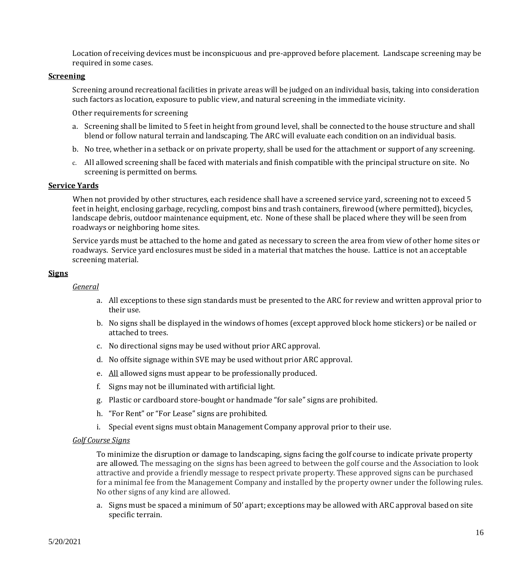Location of receiving devices must be inconspicuous and pre-approved before placement. Landscape screening may be required in some cases.

## <span id="page-15-0"></span>**Screening**

Screening around recreational facilities in private areas will be judged on an individual basis, taking into consideration such factors as location, exposure to public view, and natural screening in the immediate vicinity.

Other requirements for screening

- a. Screening shall be limited to 5 feet in height from ground level, shall be connected to the house structure and shall blend or follow natural terrain and landscaping. The ARC will evaluate each condition on an individual basis.
- b. No tree, whether in a setback or on private property, shall be used for the attachment or support of any screening.
- c. All allowed screening shall be faced with materials and finish compatible with the principal structure on site. No screening is permitted on berms.

## <span id="page-15-1"></span>**Service Yards**

When not provided by other structures, each residence shall have a screened service yard, screening not to exceed 5 feet in height, enclosing garbage, recycling, compost bins and trash containers, firewood (where permitted), bicycles, landscape debris, outdoor maintenance equipment, etc. None of these shall be placed where they will be seen from roadways or neighboring home sites.

Service yards must be attached to the home and gated as necessary to screen the area from view of other home sites or roadways. Service yard enclosures must be sided in a material that matches the house. Lattice is not an acceptable screening material.

## <span id="page-15-2"></span>**Signs**

#### *General*

- a. All exceptions to these sign standards must be presented to the ARC for review and written approval prior to their use.
- b. No signs shall be displayed in the windows of homes (except approved block home stickers) or be nailed or attached to trees.
- c. No directional signs may be used without prior ARC approval.
- d. No offsite signage within SVE may be used without prior ARC approval.
- e. All allowed signs must appear to be professionally produced.
- f. Signs may not be illuminated with artificial light.
- g. Plastic or cardboard store-bought or handmade "for sale" signs are prohibited.
- h. "For Rent" or "For Lease" signs are prohibited.
- i. Special event signs must obtain Management Company approval prior to their use.

#### *Golf Course Signs*

To minimize the disruption or damage to landscaping, signs facing the golf course to indicate private property are allowed. The messaging on the signs has been agreed to between the golf course and the Association to look attractive and provide a friendly message to respect private property. These approved signs can be purchased for a minimal fee from the Management Company and installed by the property owner under the following rules. No other signs of any kind are allowed.

a. Signs must be spaced a minimum of 50' apart; exceptions may be allowed with ARC approval based on site specific terrain.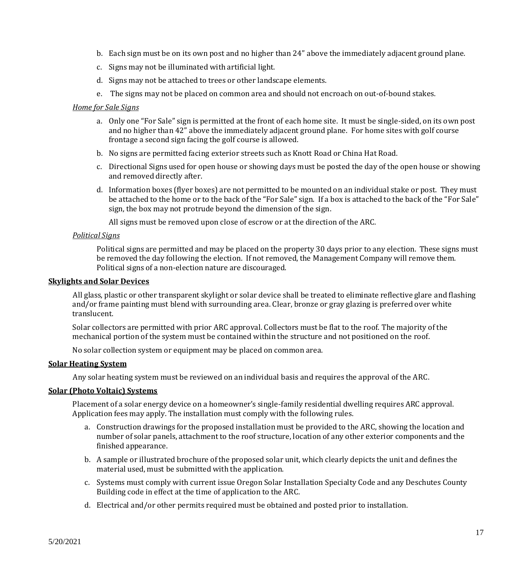- b. Each sign must be on its own post and no higher than 24" above the immediately adjacent ground plane.
- c. Signs may not be illuminated with artificial light.
- d. Signs may not be attached to trees or other landscape elements.
- e. The signs may not be placed on common area and should not encroach on out-of-bound stakes.

### *Home for Sale Signs*

- a. Only one "For Sale" sign is permitted at the front of each home site. It must be single-sided, on its own post and no higher than 42" above the immediately adjacent ground plane. For home sites with golf course frontage a second sign facing the golf course is allowed.
- b. No signs are permitted facing exterior streets such as Knott Road or China Hat Road.
- c. Directional Signs used for open house or showing days must be posted the day of the open house or showing and removed directly after.
- d. Information boxes (flyer boxes) are not permitted to be mounted on an individual stake or post. They must be attached to the home or to the back of the "For Sale" sign. If a box is attached to the back of the "For Sale" sign, the box may not protrude beyond the dimension of the sign.

All signs must be removed upon close of escrow or at the direction of the ARC.

## *Political Signs*

Political signs are permitted and may be placed on the property 30 days prior to any election. These signs must be removed the day following the election. If not removed, the Management Company will remove them. Political signs of a non-election nature are discouraged.

## <span id="page-16-0"></span>**Skylights and Solar Devices**

All glass, plastic or other transparent skylight or solar device shall be treated to eliminate reflective glare and flashing and/or frame painting must blend with surrounding area. Clear, bronze or gray glazing is preferred over white translucent.

Solar collectors are permitted with prior ARC approval. Collectors must be flat to the roof. The majority of the mechanical portion of the system must be contained within the structure and not positioned on the roof.

No solar collection system or equipment may be placed on common area.

#### <span id="page-16-1"></span>**Solar Heating System**

Any solar heating system must be reviewed on an individual basis and requires the approval of the ARC.

## <span id="page-16-2"></span>**Solar (Photo Voltaic) Systems**

Placement of a solar energy device on a homeowner's single-family residential dwelling requires ARC approval. Application fees may apply. The installation must comply with the following rules.

- a. Construction drawings for the proposed installation must be provided to the ARC, showing the location and number of solar panels, attachment to the roof structure, location of any other exterior components and the finished appearance.
- b. A sample or illustrated brochure of the proposed solar unit, which clearly depicts the unit and defines the material used, must be submitted with the application.
- c. Systems must comply with current issue Oregon Solar Installation Specialty Code and any Deschutes County Building code in effect at the time of application to the ARC.
- d. Electrical and/or other permits required must be obtained and posted prior to installation.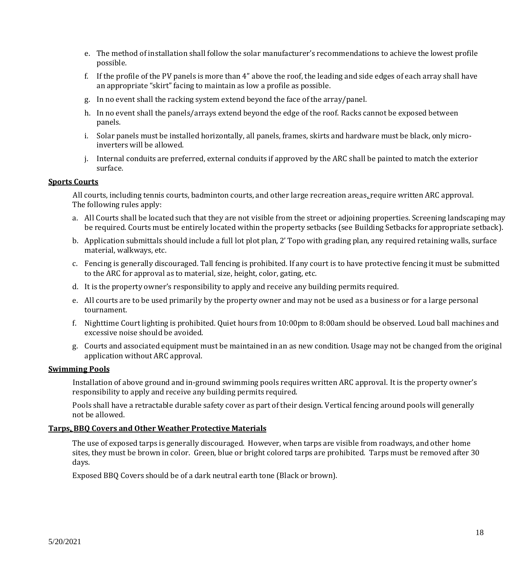- e. The method of installation shall follow the solar manufacturer's recommendations to achieve the lowest profile possible.
- f. If the profile of the PV panels is more than 4" above the roof, the leading and side edges of each array shall have an appropriate "skirt" facing to maintain as low a profile as possible.
- g. In no event shall the racking system extend beyond the face of the array/panel.
- h. In no event shall the panels/arrays extend beyond the edge of the roof. Racks cannot be exposed between panels.
- i. Solar panels must be installed horizontally, all panels, frames, skirts and hardware must be black, only microinverters will be allowed.
- j. Internal conduits are preferred, external conduits if approved by the ARC shall be painted to match the exterior surface.

#### <span id="page-17-0"></span>**Sports Courts**

All courts, including tennis courts, badminton courts, and other large recreation areas, require written ARC approval. The following rules apply:

- a. All Courts shall be located such that they are not visible from the street or adjoining properties. Screening landscaping may be required. Courts must be entirely located within the property setbacks (see Building Setbacks for appropriate setback).
- b. Application submittals should include a full lot plot plan, 2' Topo with grading plan, any required retaining walls, surface material, walkways, etc.
- c. Fencing is generally discouraged. Tall fencing is prohibited. If any court is to have protective fencing it must be submitted to the ARC for approval as to material, size, height, color, gating, etc.
- d. It is the property owner's responsibility to apply and receive any building permits required.
- e. All courts are to be used primarily by the property owner and may not be used as a business or for a large personal tournament.
- f. Nighttime Court lighting is prohibited. Quiet hours from 10:00pm to 8:00am should be observed. Loud ball machines and excessive noise should be avoided.
- g. Courts and associated equipment must be maintained in an as new condition. Usage may not be changed from the original application without ARC approval.

#### <span id="page-17-1"></span>**Swimming Pools**

Installation of above ground and in-ground swimming pools requires written ARC approval. It is the property owner's responsibility to apply and receive any building permits required.

Pools shall have a retractable durable safety cover as part of their design. Vertical fencing around pools will generally not be allowed.

#### <span id="page-17-2"></span>**Tarps, BBQ Covers and Other Weather Protective Materials**

The use of exposed tarps is generally discouraged. However, when tarps are visible from roadways, and other home sites, they must be brown in color. Green, blue or bright colored tarps are prohibited. Tarps must be removed after 30 days.

Exposed BBQ Covers should be of a dark neutral earth tone (Black or brown).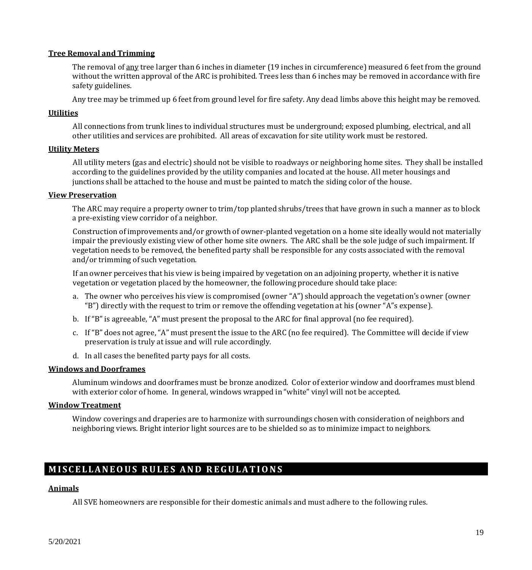#### <span id="page-18-0"></span>**Tree Removal and Trimming**

The removal of any tree larger than 6 inches in diameter (19 inches in circumference) measured 6 feet from the ground without the written approval of the ARC is prohibited. Trees less than 6 inches may be removed in accordance with fire safety guidelines.

Any tree may be trimmed up 6 feet from ground level for fire safety. Any dead limbs above this height may be removed.

#### <span id="page-18-1"></span>**Utilities**

All connections from trunk lines to individual structures must be underground; exposed plumbing, electrical, and all other utilities and services are prohibited. All areas of excavation for site utility work must be restored.

#### <span id="page-18-2"></span>**Utility Meters**

All utility meters (gas and electric) should not be visible to roadways or neighboring home sites. They shall be installed according to the guidelines provided by the utility companies and located at the house. All meter housings and junctions shall be attached to the house and must be painted to match the siding color of the house.

#### <span id="page-18-3"></span>**View Preservation**

The ARC may require a property owner to trim/top planted shrubs/trees that have grown in such a manner as to block a pre-existing view corridor of a neighbor.

Construction of improvements and/or growth of owner-planted vegetation on a home site ideally would not materially impair the previously existing view of other home site owners. The ARC shall be the sole judge of such impairment. If vegetation needs to be removed, the benefited party shall be responsible for any costs associated with the removal and/or trimming of such vegetation.

If an owner perceives that his view is being impaired by vegetation on an adjoining property, whether it is native vegetation or vegetation placed by the homeowner, the following procedure should take place:

- a. The owner who perceives his view is compromised (owner "A") should approach the vegetation's owner (owner "B") directly with the request to trim or remove the offending vegetation at his (owner "A"s expense).
- b. If "B" is agreeable, "A" must present the proposal to the ARC for final approval (no fee required).
- c. If "B" does not agree, "A" must present the issue to the ARC (no fee required). The Committee will decide if view preservation is truly at issue and will rule accordingly.
- d. In all cases the benefited party pays for all costs.

#### <span id="page-18-4"></span>**Windows and Doorframes**

Aluminum windows and doorframes must be bronze anodized. Color of exterior window and doorframes must blend with exterior color of home. In general, windows wrapped in "white" vinyl will not be accepted.

#### <span id="page-18-5"></span>**Window Treatment**

Window coverings and draperies are to harmonize with surroundings chosen with consideration of neighbors and neighboring views. Bright interior light sources are to be shielded so as to minimize impact to neighbors.

## <span id="page-18-6"></span>**MISCELLANEOUS RULES AND REGULATIONS**

#### <span id="page-18-7"></span>**Animals**

All SVE homeowners are responsible for their domestic animals and must adhere to the following rules.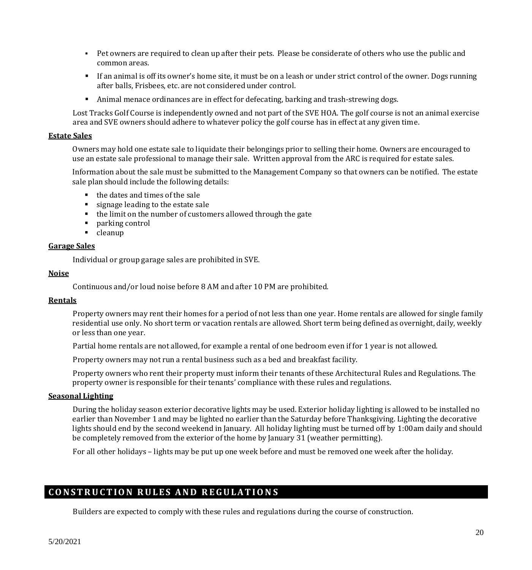- Pet owners are required to clean up after their pets. Please be considerate of others who use the public and common areas.
- If an animal is off its owner's home site, it must be on a leash or under strict control of the owner. Dogs running after balls, Frisbees, etc. are not considered under control.
- Animal menace ordinances are in effect for defecating, barking and trash-strewing dogs.

Lost Tracks Golf Course is independently owned and not part of the SVE HOA. The golf course is not an animal exercise area and SVE owners should adhere to whatever policy the golf course has in effect at any given time.

#### <span id="page-19-0"></span>**Estate Sales**

Owners may hold one estate sale to liquidate their belongings prior to selling their home. Owners are encouraged to use an estate sale professional to manage their sale. Written approval from the ARC is required for estate sales.

Information about the sale must be submitted to the Management Company so that owners can be notified. The estate sale plan should include the following details:

- the dates and times of the sale
- signage leading to the estate sale
- the limit on the number of customers allowed through the gate
- parking control
- cleanup

#### <span id="page-19-1"></span>**Garage Sales**

Individual or group garage sales are prohibited in SVE.

## <span id="page-19-2"></span>**Noise**

Continuous and/or loud noise before 8 AM and after 10 PM are prohibited.

## <span id="page-19-3"></span>**Rentals**

Property owners may rent their homes for a period of not less than one year. Home rentals are allowed for single family residential use only. No short term or vacation rentals are allowed. Short term being defined as overnight, daily, weekly or less than one year.

Partial home rentals are not allowed, for example a rental of one bedroom even if for 1 year is not allowed.

Property owners may not run a rental business such as a bed and breakfast facility.

Property owners who rent their property must inform their tenants of these Architectural Rules and Regulations. The property owner is responsible for their tenants' compliance with these rules and regulations.

#### <span id="page-19-4"></span>**Seasonal Lighting**

During the holiday season exterior decorative lights may be used. Exterior holiday lighting is allowed to be installed no earlier than November 1 and may be lighted no earlier than the Saturday before Thanksgiving. Lighting the decorative lights should end by the second weekend in January. All holiday lighting must be turned off by 1:00am daily and should be completely removed from the exterior of the home by January 31 (weather permitting).

For all other holidays – lights may be put up one week before and must be removed one week after the holiday.

## <span id="page-19-5"></span>**C O N S T R U C T I O N R U L E S A N D R E G U L A T I O N S**

Builders are expected to comply with these rules and regulations during the course of construction.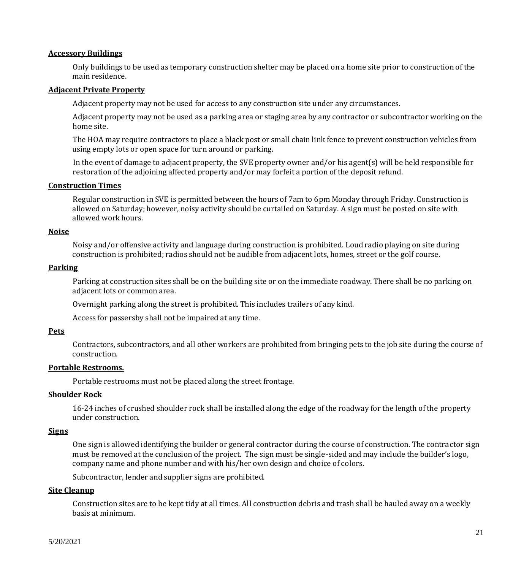#### <span id="page-20-0"></span>**Accessory Buildings**

Only buildings to be used as temporary construction shelter may be placed on a home site prior to construction of the main residence.

#### <span id="page-20-1"></span>**Adjacent Private Property**

Adjacent property may not be used for access to any construction site under any circumstances.

Adjacent property may not be used as a parking area or staging area by any contractor or subcontractor working on the home site.

The HOA may require contractors to place a black post or small chain link fence to prevent construction vehicles from using empty lots or open space for turn around or parking.

In the event of damage to adjacent property, the SVE property owner and/or his agent(s) will be held responsible for restoration of the adjoining affected property and/or may forfeit a portion of the deposit refund.

#### <span id="page-20-2"></span>**Construction Times**

Regular construction in SVE is permitted between the hours of 7am to 6pm Monday through Friday. Construction is allowed on Saturday; however, noisy activity should be curtailed on Saturday. A sign must be posted on site with allowed work hours.

#### <span id="page-20-3"></span>**Noise**

Noisy and/or offensive activity and language during construction is prohibited. Loud radio playing on site during construction is prohibited; radios should not be audible from adjacent lots, homes, street or the golf course.

#### <span id="page-20-4"></span>**Parking**

Parking at construction sites shall be on the building site or on the immediate roadway. There shall be no parking on adjacent lots or common area.

Overnight parking along the street is prohibited. This includes trailers of any kind.

Access for passersby shall not be impaired at any time.

## <span id="page-20-5"></span>**Pets**

Contractors, subcontractors, and all other workers are prohibited from bringing pets to the job site during the course of construction.

#### <span id="page-20-6"></span>**Portable Restrooms.**

Portable restrooms must not be placed along the street frontage.

## <span id="page-20-7"></span>**Shoulder Rock**

16-24 inches of crushed shoulder rock shall be installed along the edge of the roadway for the length of the property under construction.

#### <span id="page-20-8"></span>**Signs**

One sign is allowed identifying the builder or general contractor during the course of construction. The contractor sign must be removed at the conclusion of the project. The sign must be single-sided and may include the builder's logo, company name and phone number and with his/her own design and choice of colors.

Subcontractor, lender and supplier signs are prohibited.

#### <span id="page-20-9"></span>**Site Cleanup**

Construction sites are to be kept tidy at all times. All construction debris and trash shall be hauled away on a weekly basis at minimum.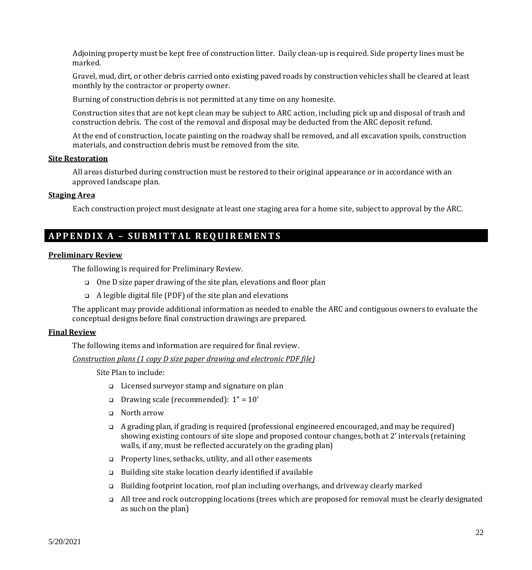Adjoining property must be kept free of construction litter. Daily clean-up is required. Side property lines must be marked.

Gravel, mud, dirt, or other debris carried onto existing paved roads by construction vehicles shall be cleared at least monthly by the contractor or property owner.

Burning of construction debris is not permitted at any time on any homesite.

Construction sites that are not kept clean may be subject to ARC action, including pick up and disposal of trash and construction debris. The cost of the removal and disposal may be deducted from the ARC deposit refund.

At the end of construction, locate painting on the roadway shall be removed, and all excavation spoils, construction materials, and construction debris must be removed from the site.

## <span id="page-21-0"></span>**Site Restoration**

All areas disturbed during construction must be restored to their original appearance or in accordance with an approved landscape plan.

#### <span id="page-21-1"></span>**Staging Area**

Each construction project must designate at least one staging area for a home site, subject to approval by the ARC.

## <span id="page-21-2"></span>**A P P E N D I X A – S U B M I T T A L R E Q U I R E M E N T S**

#### <span id="page-21-3"></span>**Preliminary Review**

The following is required for Preliminary Review.

- ❑ One D size paper drawing of the site plan, elevations and floor plan
- ❑ A legible digital file (PDF) of the site plan and elevations

The applicant may provide additional information as needed to enable the ARC and contiguous owners to evaluate the conceptual designs before final construction drawings are prepared.

#### <span id="page-21-4"></span>**Final Review**

The following items and information are required for final review.

*Construction plans (1 copy D size paper drawing and electronic PDF file)*

Site Plan to include:

- ❑ Licensed surveyor stamp and signature on plan
- $\Box$  Drawing scale (recommended):  $1" = 10'$
- ❑ North arrow
- ❑ A grading plan, if grading is required (professional engineered encouraged, and may be required) showing existing contours of site slope and proposed contour changes, both at 2' intervals (retaining walls, if any, must be reflected accurately on the grading plan)
- ❑ Property lines, setbacks, utility, and all other easements
- ❑ Building site stake location clearly identified if available
- ❑ Building footprint location, roof plan including overhangs, and driveway clearly marked
- ❑ All tree and rock outcropping locations (trees which are proposed for removal must be clearly designated as such on the plan)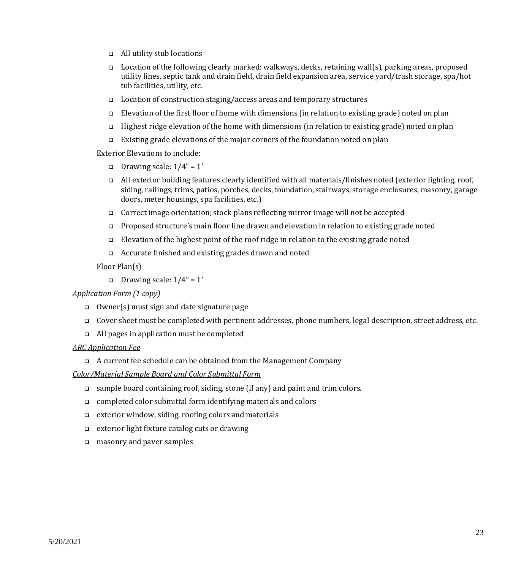- ❑ All utility stub locations
- ❑ Location of the following clearly marked: walkways, decks, retaining wall(s), parking areas, proposed utility lines, septic tank and drain field, drain field expansion area, service yard/trash storage, spa/hot tub facilities, utility, etc.
- ❑ Location of construction staging/access areas and temporary structures
- ❑ Elevation of the first floor of home with dimensions (in relation to existing grade) noted on plan
- ❑ Highest ridge elevation of the home with dimensions (in relation to existing grade) noted on plan
- ❑ Existing grade elevations of the major corners of the foundation noted on plan

Exterior Elevations to include:

- ❑ Drawing scale: 1/4" = 1'
- ❑ All exterior building features clearly identified with all materials/finishes noted (exterior lighting, roof, siding, railings, trims, patios, porches, decks, foundation, stairways, storage enclosures, masonry, garage doors, meter housings, spa facilities, etc.)
- ❑ Correct image orientation; stock plans reflecting mirror image will not be accepted
- ❑ Proposed structure's main floor line drawn and elevation in relation to existing grade noted
- ❑ Elevation of the highest point of the roof ridge in relation to the existing grade noted
- ❑ Accurate finished and existing grades drawn and noted

Floor Plan(s)

❑ Drawing scale: 1/4" = 1'

#### *Application Form (1 copy)*

- ❑ Owner(s) must sign and date signature page
- ❑ Cover sheet must be completed with pertinent addresses, phone numbers, legal description, street address, etc.
- ❑ All pages in application must be completed

#### *ARC Application Fee*

❑ A current fee schedule can be obtained from the Management Company

*Color/Material Sample Board and Color Submittal Form*

- ❑ sample board containing roof, siding, stone (if any) and paint and trim colors.
- ❑ completed color submittal form identifying materials and colors
- ❑ exterior window, siding, roofing colors and materials
- ❑ exterior light fixture catalog cuts or drawing
- ❑ masonry and paver samples